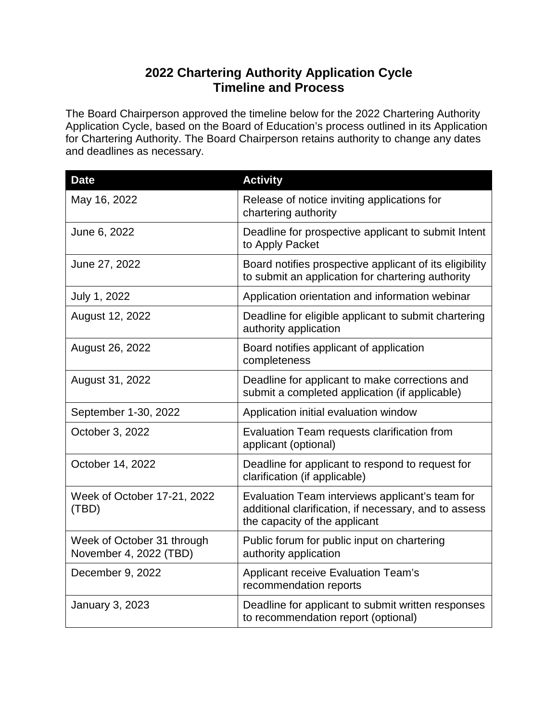## **2022 Chartering Authority Application Cycle Timeline and Process**

The Board Chairperson approved the timeline below for the 2022 Chartering Authority Application Cycle, based on the Board of Education's process outlined in its Application for Chartering Authority. The Board Chairperson retains authority to change any dates and deadlines as necessary.

| <b>Date</b>                                          | <b>Activity</b>                                                                                                                           |
|------------------------------------------------------|-------------------------------------------------------------------------------------------------------------------------------------------|
| May 16, 2022                                         | Release of notice inviting applications for<br>chartering authority                                                                       |
| June 6, 2022                                         | Deadline for prospective applicant to submit Intent<br>to Apply Packet                                                                    |
| June 27, 2022                                        | Board notifies prospective applicant of its eligibility<br>to submit an application for chartering authority                              |
| July 1, 2022                                         | Application orientation and information webinar                                                                                           |
| August 12, 2022                                      | Deadline for eligible applicant to submit chartering<br>authority application                                                             |
| August 26, 2022                                      | Board notifies applicant of application<br>completeness                                                                                   |
| August 31, 2022                                      | Deadline for applicant to make corrections and<br>submit a completed application (if applicable)                                          |
| September 1-30, 2022                                 | Application initial evaluation window                                                                                                     |
| October 3, 2022                                      | Evaluation Team requests clarification from<br>applicant (optional)                                                                       |
| October 14, 2022                                     | Deadline for applicant to respond to request for<br>clarification (if applicable)                                                         |
| Week of October 17-21, 2022<br>(TBD)                 | Evaluation Team interviews applicant's team for<br>additional clarification, if necessary, and to assess<br>the capacity of the applicant |
| Week of October 31 through<br>November 4, 2022 (TBD) | Public forum for public input on chartering<br>authority application                                                                      |
| December 9, 2022                                     | Applicant receive Evaluation Team's<br>recommendation reports                                                                             |
| <b>January 3, 2023</b>                               | Deadline for applicant to submit written responses<br>to recommendation report (optional)                                                 |